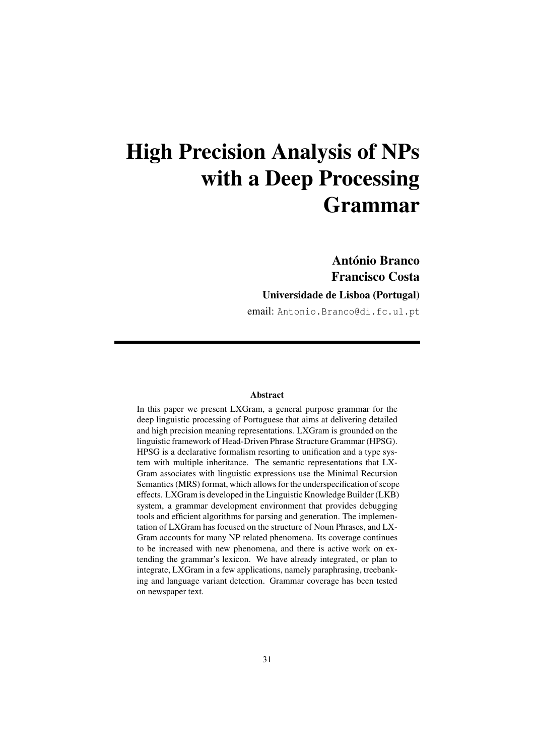António Branco Francisco Costa

Universidade de Lisboa (Portugal)

email: Antonio.Branco@di.fc.ul.pt

#### Abstract

In this paper we present LXGram, a general purpose grammar for the deep linguistic processing of Portuguese that aims at delivering detailed and high precision meaning representations. LXGram is grounded on the linguistic framework of Head-Driven Phrase Structure Grammar (HPSG). HPSG is a declarative formalism resorting to unification and a type system with multiple inheritance. The semantic representations that LX-Gram associates with linguistic expressions use the Minimal Recursion Semantics (MRS) format, which allows for the underspecification of scope effects. LXGram is developed in the Linguistic Knowledge Builder (LKB) system, a grammar development environment that provides debugging tools and efficient algorithms for parsing and generation. The implementation of LXGram has focused on the structure of Noun Phrases, and LX-Gram accounts for many NP related phenomena. Its coverage continues to be increased with new phenomena, and there is active work on extending the grammar's lexicon. We have already integrated, or plan to integrate, LXGram in a few applications, namely paraphrasing, treebanking and language variant detection. Grammar coverage has been tested on newspaper text.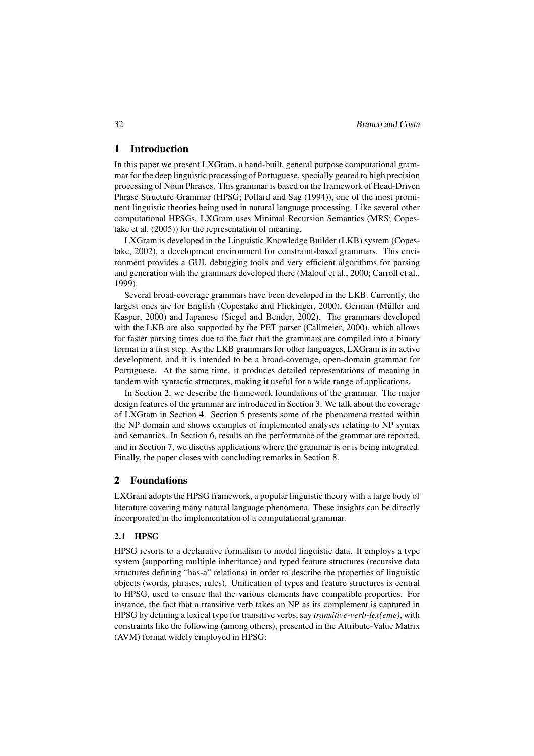## 1 Introduction

In this paper we present LXGram, a hand-built, general purpose computational grammar for the deep linguistic processing of Portuguese, specially geared to high precision processing of Noun Phrases. This grammar is based on the framework of Head-Driven Phrase Structure Grammar (HPSG; Pollard and Sag (1994)), one of the most prominent linguistic theories being used in natural language processing. Like several other computational HPSGs, LXGram uses Minimal Recursion Semantics (MRS; Copestake et al. (2005)) for the representation of meaning.

LXGram is developed in the Linguistic Knowledge Builder (LKB) system (Copestake, 2002), a development environment for constraint-based grammars. This environment provides a GUI, debugging tools and very efficient algorithms for parsing and generation with the grammars developed there (Malouf et al., 2000; Carroll et al., 1999).

Several broad-coverage grammars have been developed in the LKB. Currently, the largest ones are for English (Copestake and Flickinger, 2000), German (Müller and Kasper, 2000) and Japanese (Siegel and Bender, 2002). The grammars developed with the LKB are also supported by the PET parser (Callmeier, 2000), which allows for faster parsing times due to the fact that the grammars are compiled into a binary format in a first step. As the LKB grammars for other languages, LXGram is in active development, and it is intended to be a broad-coverage, open-domain grammar for Portuguese. At the same time, it produces detailed representations of meaning in tandem with syntactic structures, making it useful for a wide range of applications.

In Section 2, we describe the framework foundations of the grammar. The major design features of the grammar are introduced in Section 3. We talk about the coverage of LXGram in Section 4. Section 5 presents some of the phenomena treated within the NP domain and shows examples of implemented analyses relating to NP syntax and semantics. In Section 6, results on the performance of the grammar are reported, and in Section 7, we discuss applications where the grammar is or is being integrated. Finally, the paper closes with concluding remarks in Section 8.

### 2 Foundations

LXGram adopts the HPSG framework, a popular linguistic theory with a large body of literature covering many natural language phenomena. These insights can be directly incorporated in the implementation of a computational grammar.

## 2.1 HPSG

HPSG resorts to a declarative formalism to model linguistic data. It employs a type system (supporting multiple inheritance) and typed feature structures (recursive data structures defining "has-a" relations) in order to describe the properties of linguistic objects (words, phrases, rules). Unification of types and feature structures is central to HPSG, used to ensure that the various elements have compatible properties. For instance, the fact that a transitive verb takes an NP as its complement is captured in HPSG by defining a lexical type for transitive verbs, say *transitive-verb-lex(eme)*, with constraints like the following (among others), presented in the Attribute-Value Matrix (AVM) format widely employed in HPSG: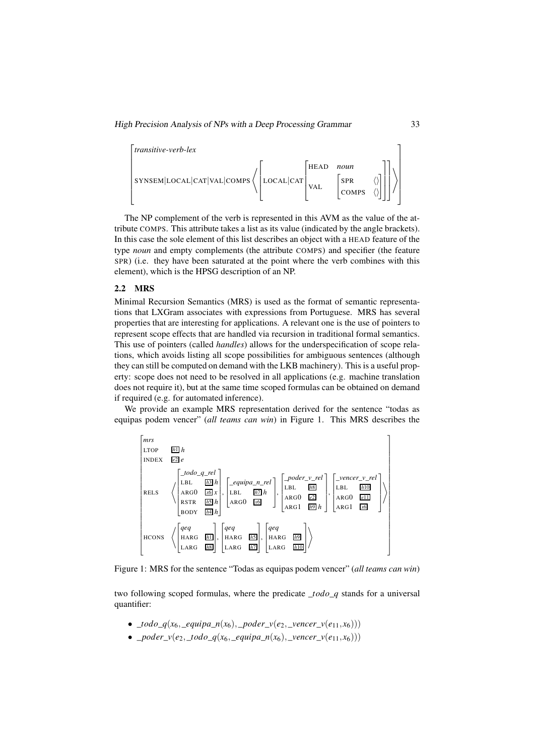

The NP complement of the verb is represented in this AVM as the value of the attribute COMPS. This attribute takes a list as its value (indicated by the angle brackets). In this case the sole element of this list describes an object with a HEAD feature of the type *noun* and empty complements (the attribute COMPS) and specifier (the feature SPR) (i.e. they have been saturated at the point where the verb combines with this element), which is the HPSG description of an NP.

#### 2.2 MRS

Minimal Recursion Semantics (MRS) is used as the format of semantic representations that LXGram associates with expressions from Portuguese. MRS has several properties that are interesting for applications. A relevant one is the use of pointers to represent scope effects that are handled via recursion in traditional formal semantics. This use of pointers (called *handles*) allows for the underspecification of scope relations, which avoids listing all scope possibilities for ambiguous sentences (although they can still be computed on demand with the LKB machinery). This is a useful property: scope does not need to be resolved in all applications (e.g. machine translation does not require it), but at the same time scoped formulas can be obtained on demand if required (e.g. for automated inference).

We provide an example MRS representation derived for the sentence "todas as equipas podem vencer" (*all teams can win*) in Figure 1. This MRS describes the



Figure 1: MRS for the sentence "Todas as equipas podem vencer" (*all teams can win*)

two following scoped formulas, where the predicate \_*todo*\_*q* stands for a universal quantifier:

- $\_todo_q(x_6,\_equipa_n(x_6),\_poder_v(e_2,\_vencer_v(e_{11},x_6)))$
- *poder*  $v(e_2, todo q(x_6, equipa n(x_6), vencer v(e_{11}, x_6)))$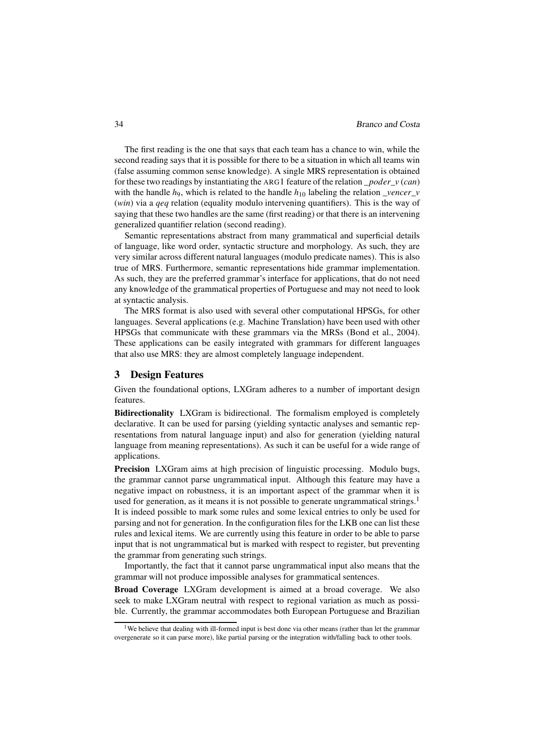The first reading is the one that says that each team has a chance to win, while the second reading says that it is possible for there to be a situation in which all teams win (false assuming common sense knowledge). A single MRS representation is obtained for these two readings by instantiating the ARG1 feature of the relation \_*poder*\_*v* (*can*) with the handle  $h_9$ , which is related to the handle  $h_{10}$  labeling the relation *\_vencer\_v* (*win*) via a *qeq* relation (equality modulo intervening quantifiers). This is the way of saying that these two handles are the same (first reading) or that there is an intervening generalized quantifier relation (second reading).

Semantic representations abstract from many grammatical and superficial details of language, like word order, syntactic structure and morphology. As such, they are very similar across different natural languages (modulo predicate names). This is also true of MRS. Furthermore, semantic representations hide grammar implementation. As such, they are the preferred grammar's interface for applications, that do not need any knowledge of the grammatical properties of Portuguese and may not need to look at syntactic analysis.

The MRS format is also used with several other computational HPSGs, for other languages. Several applications (e.g. Machine Translation) have been used with other HPSGs that communicate with these grammars via the MRSs (Bond et al., 2004). These applications can be easily integrated with grammars for different languages that also use MRS: they are almost completely language independent.

## 3 Design Features

Given the foundational options, LXGram adheres to a number of important design features.

Bidirectionality LXGram is bidirectional. The formalism employed is completely declarative. It can be used for parsing (yielding syntactic analyses and semantic representations from natural language input) and also for generation (yielding natural language from meaning representations). As such it can be useful for a wide range of applications.

Precision LXGram aims at high precision of linguistic processing. Modulo bugs, the grammar cannot parse ungrammatical input. Although this feature may have a negative impact on robustness, it is an important aspect of the grammar when it is used for generation, as it means it is not possible to generate ungrammatical strings.<sup>1</sup> It is indeed possible to mark some rules and some lexical entries to only be used for parsing and not for generation. In the configuration files for the LKB one can list these rules and lexical items. We are currently using this feature in order to be able to parse input that is not ungrammatical but is marked with respect to register, but preventing the grammar from generating such strings.

Importantly, the fact that it cannot parse ungrammatical input also means that the grammar will not produce impossible analyses for grammatical sentences.

Broad Coverage LXGram development is aimed at a broad coverage. We also seek to make LXGram neutral with respect to regional variation as much as possible. Currently, the grammar accommodates both European Portuguese and Brazilian

<sup>&</sup>lt;sup>1</sup>We believe that dealing with ill-formed input is best done via other means (rather than let the grammar overgenerate so it can parse more), like partial parsing or the integration with/falling back to other tools.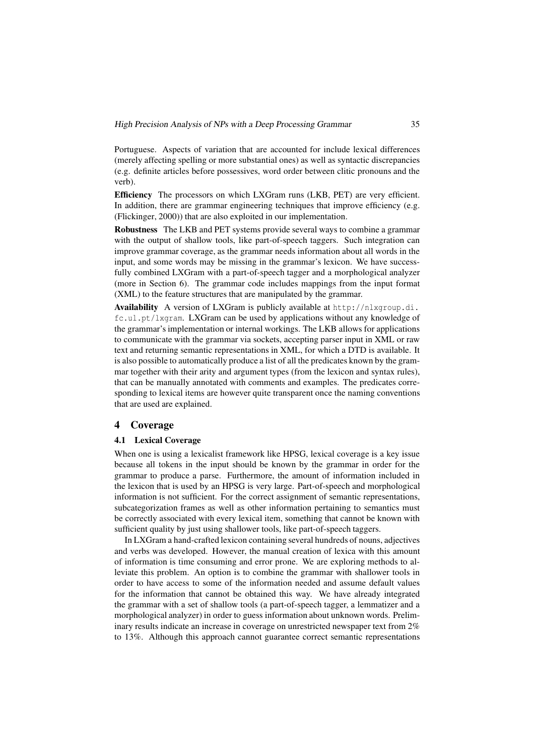Portuguese. Aspects of variation that are accounted for include lexical differences (merely affecting spelling or more substantial ones) as well as syntactic discrepancies (e.g. definite articles before possessives, word order between clitic pronouns and the verb).

Efficiency The processors on which LXGram runs (LKB, PET) are very efficient. In addition, there are grammar engineering techniques that improve efficiency (e.g. (Flickinger, 2000)) that are also exploited in our implementation.

Robustness The LKB and PET systems provide several ways to combine a grammar with the output of shallow tools, like part-of-speech taggers. Such integration can improve grammar coverage, as the grammar needs information about all words in the input, and some words may be missing in the grammar's lexicon. We have successfully combined LXGram with a part-of-speech tagger and a morphological analyzer (more in Section 6). The grammar code includes mappings from the input format (XML) to the feature structures that are manipulated by the grammar.

Availability A version of LXGram is publicly available at http://nlxgroup.di. fc.ul.pt/lxgram. LXGram can be used by applications without any knowledge of the grammar's implementation or internal workings. The LKB allows for applications to communicate with the grammar via sockets, accepting parser input in XML or raw text and returning semantic representations in XML, for which a DTD is available. It is also possible to automatically produce a list of all the predicates known by the grammar together with their arity and argument types (from the lexicon and syntax rules), that can be manually annotated with comments and examples. The predicates corresponding to lexical items are however quite transparent once the naming conventions that are used are explained.

#### 4 Coverage

#### 4.1 Lexical Coverage

When one is using a lexicalist framework like HPSG, lexical coverage is a key issue because all tokens in the input should be known by the grammar in order for the grammar to produce a parse. Furthermore, the amount of information included in the lexicon that is used by an HPSG is very large. Part-of-speech and morphological information is not sufficient. For the correct assignment of semantic representations, subcategorization frames as well as other information pertaining to semantics must be correctly associated with every lexical item, something that cannot be known with sufficient quality by just using shallower tools, like part-of-speech taggers.

In LXGram a hand-crafted lexicon containing several hundreds of nouns, adjectives and verbs was developed. However, the manual creation of lexica with this amount of information is time consuming and error prone. We are exploring methods to alleviate this problem. An option is to combine the grammar with shallower tools in order to have access to some of the information needed and assume default values for the information that cannot be obtained this way. We have already integrated the grammar with a set of shallow tools (a part-of-speech tagger, a lemmatizer and a morphological analyzer) in order to guess information about unknown words. Preliminary results indicate an increase in coverage on unrestricted newspaper text from 2% to 13%. Although this approach cannot guarantee correct semantic representations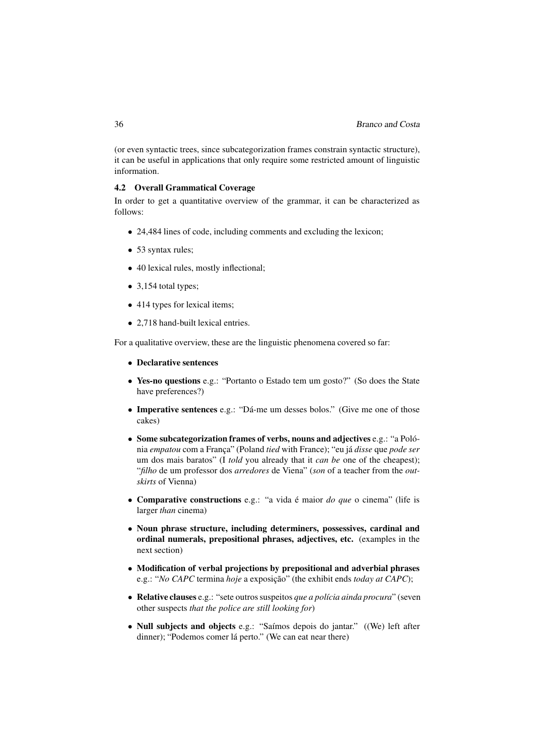(or even syntactic trees, since subcategorization frames constrain syntactic structure), it can be useful in applications that only require some restricted amount of linguistic information.

## 4.2 Overall Grammatical Coverage

In order to get a quantitative overview of the grammar, it can be characterized as follows:

- 24,484 lines of code, including comments and excluding the lexicon;
- 53 syntax rules;
- 40 lexical rules, mostly inflectional;
- 3,154 total types;
- 414 types for lexical items;
- 2.718 hand-built lexical entries.

For a qualitative overview, these are the linguistic phenomena covered so far:

- Declarative sentences
- Yes-no questions e.g.: "Portanto o Estado tem um gosto?" (So does the State have preferences?)
- Imperative sentences e.g.: "Dá-me um desses bolos." (Give me one of those cakes)
- Some subcategorization frames of verbs, nouns and adjectives e.g.: "a Polónia *empatou* com a França" (Poland *tied* with France); "eu já *disse* que *pode ser* um dos mais baratos" (I *told* you already that it *can be* one of the cheapest); "*filho* de um professor dos *arredores* de Viena" (*son* of a teacher from the *outskirts* of Vienna)
- Comparative constructions e.g.: "a vida é maior *do que* o cinema" (life is larger *than* cinema)
- Noun phrase structure, including determiners, possessives, cardinal and ordinal numerals, prepositional phrases, adjectives, etc. (examples in the next section)
- Modification of verbal projections by prepositional and adverbial phrases e.g.: "*No CAPC* termina *hoje* a exposição" (the exhibit ends *today at CAPC*);
- Relative clauses e.g.: "sete outros suspeitos *que a polícia ainda procura*" (seven other suspects *that the police are still looking for*)
- Null subjects and objects e.g.: "Saímos depois do jantar." ((We) left after dinner); "Podemos comer lá perto." (We can eat near there)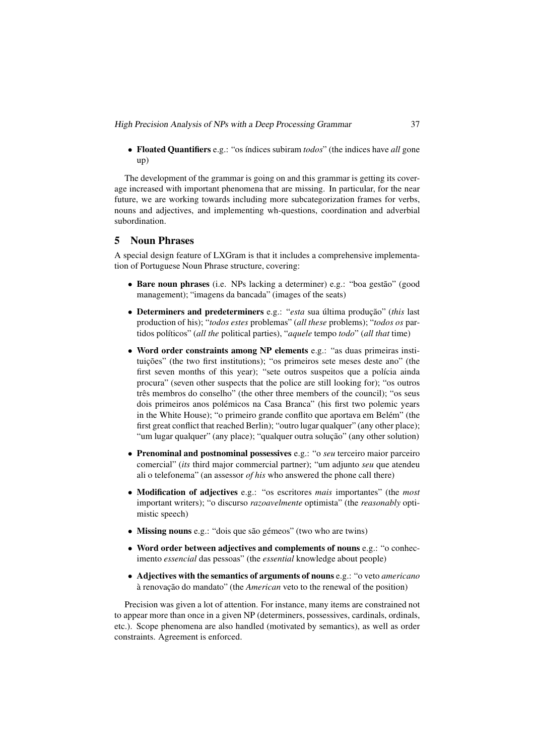• Floated Quantifiers e.g.: "os índices subiram *todos*" (the indices have *all* gone up)

The development of the grammar is going on and this grammar is getting its coverage increased with important phenomena that are missing. In particular, for the near future, we are working towards including more subcategorization frames for verbs, nouns and adjectives, and implementing wh-questions, coordination and adverbial subordination.

# 5 Noun Phrases

A special design feature of LXGram is that it includes a comprehensive implementation of Portuguese Noun Phrase structure, covering:

- Bare noun phrases (i.e. NPs lacking a determiner) e.g.: "boa gestão" (good management); "imagens da bancada" (images of the seats)
- Determiners and predeterminers e.g.: "*esta* sua última produção" (*this* last production of his); "*todos estes* problemas" (*all these* problems); "*todos os* partidos políticos" (*all the* political parties), "*aquele* tempo *todo*" (*all that* time)
- Word order constraints among NP elements e.g.: "as duas primeiras instituições" (the two first institutions); "os primeiros sete meses deste ano" (the first seven months of this year); "sete outros suspeitos que a polícia ainda procura" (seven other suspects that the police are still looking for); "os outros três membros do conselho" (the other three members of the council); "os seus dois primeiros anos polémicos na Casa Branca" (his first two polemic years in the White House); "o primeiro grande conflito que aportava em Belém" (the first great conflict that reached Berlin); "outro lugar qualquer" (any other place); "um lugar qualquer" (any place); "qualquer outra solução" (any other solution)
- Prenominal and postnominal possessives e.g.: "o *seu* terceiro maior parceiro comercial" (*its* third major commercial partner); "um adjunto *seu* que atendeu ali o telefonema" (an assessor *of his* who answered the phone call there)
- Modification of adjectives e.g.: "os escritores *mais* importantes" (the *most* important writers); "o discurso *razoavelmente* optimista" (the *reasonably* optimistic speech)
- Missing nouns e.g.: "dois que são gémeos" (two who are twins)
- Word order between adjectives and complements of nouns e.g.: "o conhecimento *essencial* das pessoas" (the *essential* knowledge about people)
- Adjectives with the semantics of arguments of nouns e.g.: "o veto *americano* à renovação do mandato" (the *American* veto to the renewal of the position)

Precision was given a lot of attention. For instance, many items are constrained not to appear more than once in a given NP (determiners, possessives, cardinals, ordinals, etc.). Scope phenomena are also handled (motivated by semantics), as well as order constraints. Agreement is enforced.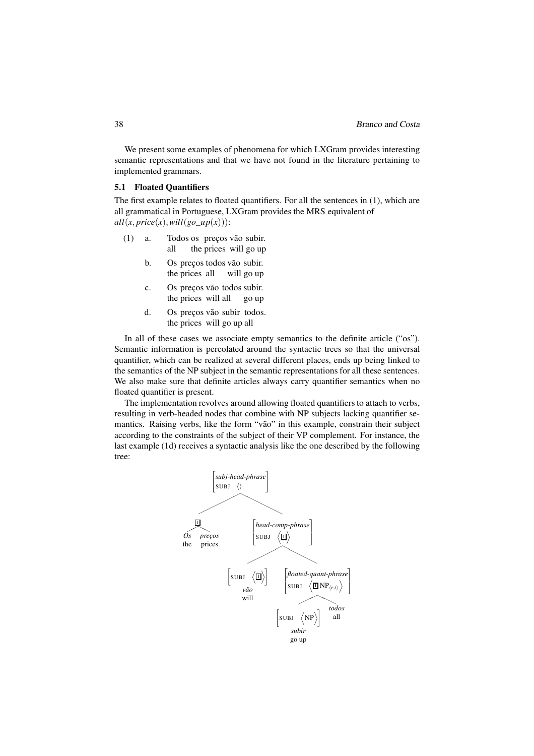We present some examples of phenomena for which LXGram provides interesting semantic representations and that we have not found in the literature pertaining to implemented grammars.

#### 5.1 Floated Quantifiers

The first example relates to floated quantifiers. For all the sentences in (1), which are all grammatical in Portuguese, LXGram provides the MRS equivalent of  $all(x, price(x), will (go\_up(x)))$ :

- $(1)$  a. all os preços vão subir. the prices will go up
	- b. Os preços todos vão subir. the prices all will go up
	- c. Os preços vão todos subir. the prices will all go up
	- d. Os preços vão subir todos. the prices will go up all

In all of these cases we associate empty semantics to the definite article ("os"). Semantic information is percolated around the syntactic trees so that the universal quantifier, which can be realized at several different places, ends up being linked to the semantics of the NP subject in the semantic representations for all these sentences. We also make sure that definite articles always carry quantifier semantics when no floated quantifier is present.

The implementation revolves around allowing floated quantifiers to attach to verbs, resulting in verb-headed nodes that combine with NP subjects lacking quantifier semantics. Raising verbs, like the form "vão" in this example, constrain their subject according to the constraints of the subject of their VP complement. For instance, the last example (1d) receives a syntactic analysis like the one described by the following tree:

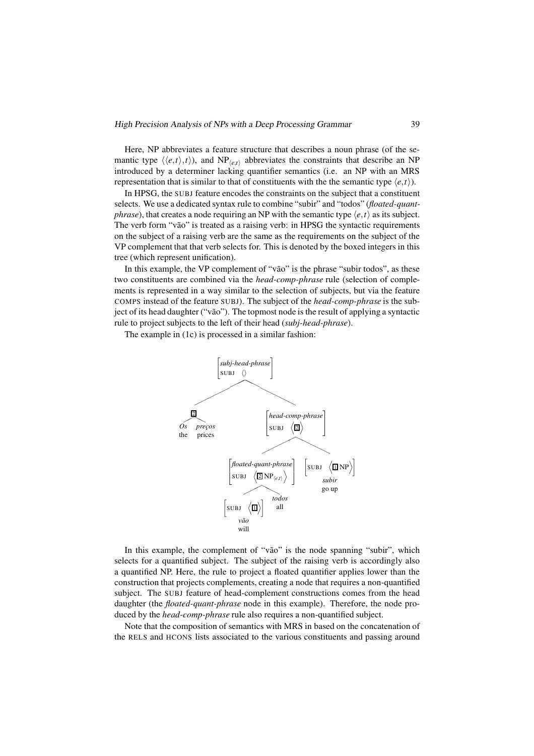Here, NP abbreviates a feature structure that describes a noun phrase (of the semantic type  $\langle \langle e, t \rangle, t \rangle$ , and NP<sub> $\langle e, t \rangle$ </sub> abbreviates the constraints that describe an NP introduced by a determiner lacking quantifier semantics (i.e. an NP with an MRS representation that is similar to that of constituents with the the semantic type  $\langle e, t \rangle$ .

In HPSG, the SUBJ feature encodes the constraints on the subject that a constituent selects. We use a dedicated syntax rule to combine "subir" and "todos" (*floated-quantphrase*), that creates a node requiring an NP with the semantic type  $\langle e, t \rangle$  as its subject. The verb form "vão" is treated as a raising verb: in HPSG the syntactic requirements on the subject of a raising verb are the same as the requirements on the subject of the VP complement that that verb selects for. This is denoted by the boxed integers in this tree (which represent unification).

In this example, the VP complement of "vão" is the phrase "subir todos", as these two constituents are combined via the *head-comp-phrase* rule (selection of complements is represented in a way similar to the selection of subjects, but via the feature COMPS instead of the feature SUBJ). The subject of the *head-comp-phrase* is the subject of its head daughter ("vão"). The topmost node is the result of applying a syntactic rule to project subjects to the left of their head (*subj-head-phrase*).

The example in (1c) is processed in a similar fashion:



In this example, the complement of "vão" is the node spanning "subir", which selects for a quantified subject. The subject of the raising verb is accordingly also a quantified NP. Here, the rule to project a floated quantifier applies lower than the construction that projects complements, creating a node that requires a non-quantified subject. The SUBJ feature of head-complement constructions comes from the head daughter (the *floated-quant-phrase* node in this example). Therefore, the node produced by the *head-comp-phrase* rule also requires a non-quantified subject.

Note that the composition of semantics with MRS in based on the concatenation of the RELS and HCONS lists associated to the various constituents and passing around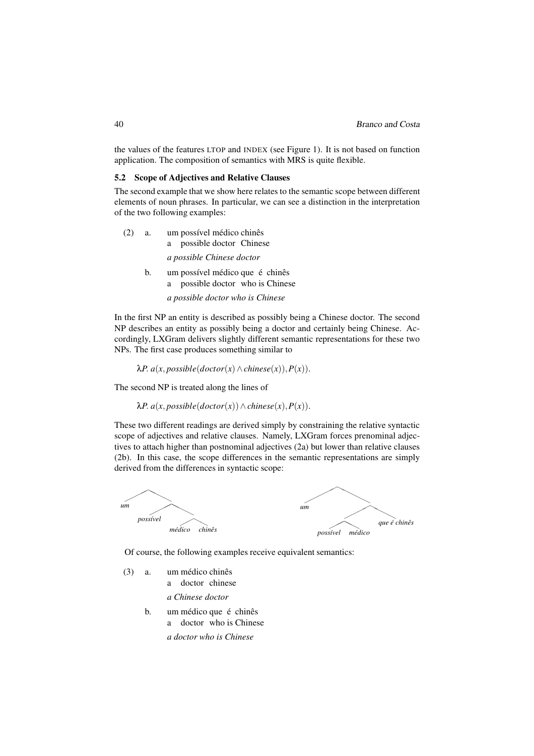the values of the features LTOP and INDEX (see Figure 1). It is not based on function application. The composition of semantics with MRS is quite flexible.

## 5.2 Scope of Adjectives and Relative Clauses

The second example that we show here relates to the semantic scope between different elements of noun phrases. In particular, we can see a distinction in the interpretation of the two following examples:

| (2) | a. | um possível médico chinês<br>possible doctor Chinese<br>a              |
|-----|----|------------------------------------------------------------------------|
|     |    | a possible Chinese doctor                                              |
|     | b. | um possível médico que é chinês<br>possible doctor who is Chinese<br>a |
|     |    | a possible doctor who is Chinese                                       |

In the first NP an entity is described as possibly being a Chinese doctor. The second NP describes an entity as possibly being a doctor and certainly being Chinese. Accordingly, LXGram delivers slightly different semantic representations for these two NPs. The first case produces something similar to

 $λP. a(x, possible$ (*doctor*(*x*) ∧ *chinese*(*x*)), $P(x)$ ).

The second NP is treated along the lines of

 $λP. a(x, possible (doctor(x)) ∧ Chinese(x), P(x)).$ 

These two different readings are derived simply by constraining the relative syntactic scope of adjectives and relative clauses. Namely, LXGram forces prenominal adjectives to attach higher than postnominal adjectives (2a) but lower than relative clauses (2b). In this case, the scope differences in the semantic representations are simply derived from the differences in syntactic scope:



Of course, the following examples receive equivalent semantics:

- $(3)$  a. a doctor chinese médico chinês
	- *a Chinese doctor*
	- b. um médico que é chinês a doctor who is Chinese *a doctor who is Chinese*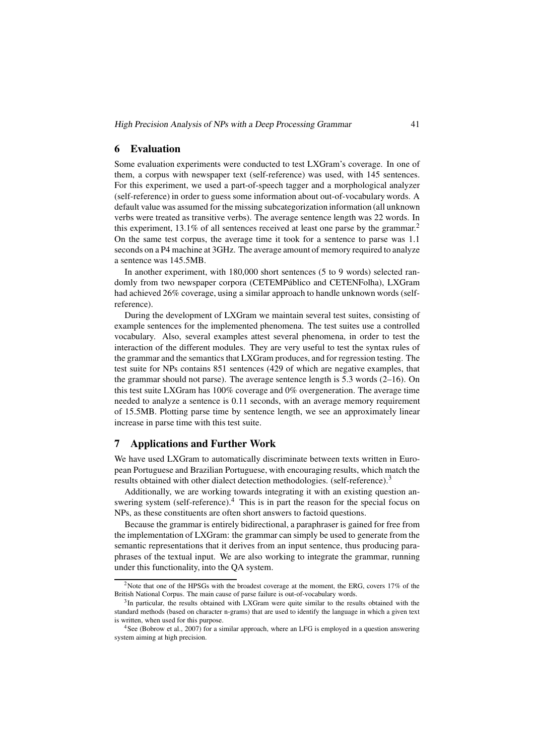## 6 Evaluation

Some evaluation experiments were conducted to test LXGram's coverage. In one of them, a corpus with newspaper text (self-reference) was used, with 145 sentences. For this experiment, we used a part-of-speech tagger and a morphological analyzer (self-reference) in order to guess some information about out-of-vocabulary words. A default value was assumed for the missing subcategorization information (all unknown verbs were treated as transitive verbs). The average sentence length was 22 words. In this experiment,  $13.1\%$  of all sentences received at least one parse by the grammar.<sup>2</sup> On the same test corpus, the average time it took for a sentence to parse was 1.1 seconds on a P4 machine at 3GHz. The average amount of memory required to analyze a sentence was 145.5MB.

In another experiment, with 180,000 short sentences (5 to 9 words) selected randomly from two newspaper corpora (CETEMPúblico and CETENFolha), LXGram had achieved 26% coverage, using a similar approach to handle unknown words (selfreference).

During the development of LXGram we maintain several test suites, consisting of example sentences for the implemented phenomena. The test suites use a controlled vocabulary. Also, several examples attest several phenomena, in order to test the interaction of the different modules. They are very useful to test the syntax rules of the grammar and the semantics that LXGram produces, and for regression testing. The test suite for NPs contains 851 sentences (429 of which are negative examples, that the grammar should not parse). The average sentence length is 5.3 words (2–16). On this test suite LXGram has 100% coverage and 0% overgeneration. The average time needed to analyze a sentence is 0.11 seconds, with an average memory requirement of 15.5MB. Plotting parse time by sentence length, we see an approximately linear increase in parse time with this test suite.

# 7 Applications and Further Work

We have used LXGram to automatically discriminate between texts written in European Portuguese and Brazilian Portuguese, with encouraging results, which match the results obtained with other dialect detection methodologies. (self-reference).<sup>3</sup>

Additionally, we are working towards integrating it with an existing question answering system (self-reference). $4$  This is in part the reason for the special focus on NPs, as these constituents are often short answers to factoid questions.

Because the grammar is entirely bidirectional, a paraphraser is gained for free from the implementation of LXGram: the grammar can simply be used to generate from the semantic representations that it derives from an input sentence, thus producing paraphrases of the textual input. We are also working to integrate the grammar, running under this functionality, into the QA system.

<sup>&</sup>lt;sup>2</sup>Note that one of the HPSGs with the broadest coverage at the moment, the ERG, covers 17% of the British National Corpus. The main cause of parse failure is out-of-vocabulary words.

<sup>&</sup>lt;sup>3</sup>In particular, the results obtained with LXGram were quite similar to the results obtained with the standard methods (based on character n-grams) that are used to identify the language in which a given text is written, when used for this purpose.

<sup>&</sup>lt;sup>4</sup>See (Bobrow et al., 2007) for a similar approach, where an LFG is employed in a question answering system aiming at high precision.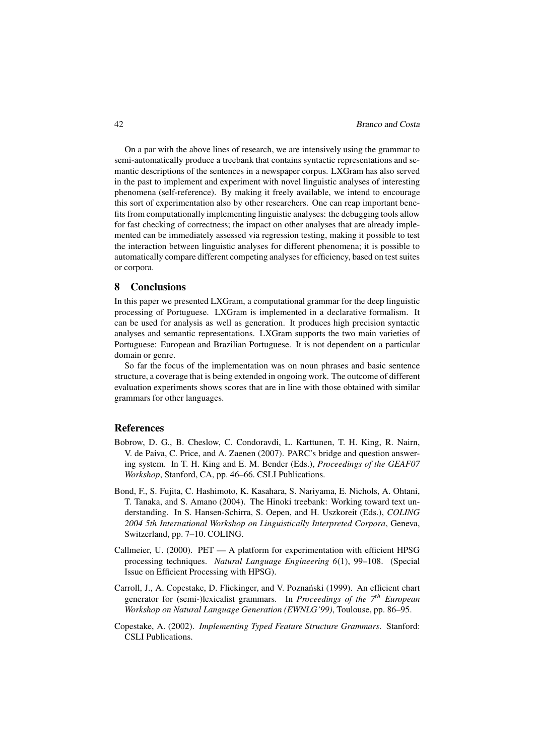On a par with the above lines of research, we are intensively using the grammar to semi-automatically produce a treebank that contains syntactic representations and semantic descriptions of the sentences in a newspaper corpus. LXGram has also served in the past to implement and experiment with novel linguistic analyses of interesting phenomena (self-reference). By making it freely available, we intend to encourage this sort of experimentation also by other researchers. One can reap important benefits from computationally implementing linguistic analyses: the debugging tools allow for fast checking of correctness; the impact on other analyses that are already implemented can be immediately assessed via regression testing, making it possible to test the interaction between linguistic analyses for different phenomena; it is possible to automatically compare different competing analyses for efficiency, based on test suites or corpora.

## 8 Conclusions

In this paper we presented LXGram, a computational grammar for the deep linguistic processing of Portuguese. LXGram is implemented in a declarative formalism. It can be used for analysis as well as generation. It produces high precision syntactic analyses and semantic representations. LXGram supports the two main varieties of Portuguese: European and Brazilian Portuguese. It is not dependent on a particular domain or genre.

So far the focus of the implementation was on noun phrases and basic sentence structure, a coverage that is being extended in ongoing work. The outcome of different evaluation experiments shows scores that are in line with those obtained with similar grammars for other languages.

## References

- Bobrow, D. G., B. Cheslow, C. Condoravdi, L. Karttunen, T. H. King, R. Nairn, V. de Paiva, C. Price, and A. Zaenen (2007). PARC's bridge and question answering system. In T. H. King and E. M. Bender (Eds.), *Proceedings of the GEAF07 Workshop*, Stanford, CA, pp. 46–66. CSLI Publications.
- Bond, F., S. Fujita, C. Hashimoto, K. Kasahara, S. Nariyama, E. Nichols, A. Ohtani, T. Tanaka, and S. Amano (2004). The Hinoki treebank: Working toward text understanding. In S. Hansen-Schirra, S. Oepen, and H. Uszkoreit (Eds.), *COLING 2004 5th International Workshop on Linguistically Interpreted Corpora*, Geneva, Switzerland, pp. 7–10. COLING.
- Callmeier, U. (2000). PET A platform for experimentation with efficient HPSG processing techniques. *Natural Language Engineering 6*(1), 99–108. (Special Issue on Efficient Processing with HPSG).
- Carroll, J., A. Copestake, D. Flickinger, and V. Poznański (1999). An efficient chart generator for (semi-)lexicalist grammars. In *Proceedings of the 7th European Workshop on Natural Language Generation (EWNLG'99)*, Toulouse, pp. 86–95.
- Copestake, A. (2002). *Implementing Typed Feature Structure Grammars*. Stanford: CSLI Publications.